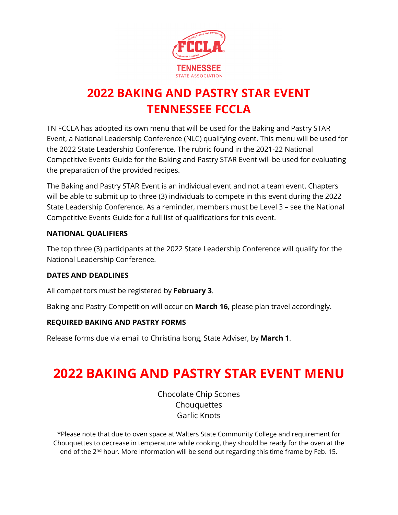

# **2022 BAKING AND PASTRY STAR EVENT TENNESSEE FCCLA**

TN FCCLA has adopted its own menu that will be used for the Baking and Pastry STAR Event, a National Leadership Conference (NLC) qualifying event. This menu will be used for the 2022 State Leadership Conference. The rubric found in the 2021-22 National Competitive Events Guide for the Baking and Pastry STAR Event will be used for evaluating the preparation of the provided recipes.

The Baking and Pastry STAR Event is an individual event and not a team event. Chapters will be able to submit up to three (3) individuals to compete in this event during the 2022 State Leadership Conference. As a reminder, members must be Level 3 – see the National Competitive Events Guide for a full list of qualifications for this event.

### **NATIONAL QUALIFIERS**

The top three (3) participants at the 2022 State Leadership Conference will qualify for the National Leadership Conference.

## **DATES AND DEADLINES**

All competitors must be registered by **February 3**.

Baking and Pastry Competition will occur on **March 16**, please plan travel accordingly.

## **REQUIRED BAKING AND PASTRY FORMS**

Release forms due via email to Christina Isong, State Adviser, by **March 1**.

# **2022 BAKING AND PASTRY STAR EVENT MENU**

Chocolate Chip Scones **Chouquettes** Garlic Knots

\*Please note that due to oven space at Walters State Community College and requirement for Chouquettes to decrease in temperature while cooking, they should be ready for the oven at the end of the 2<sup>nd</sup> hour. More information will be send out regarding this time frame by Feb. 15.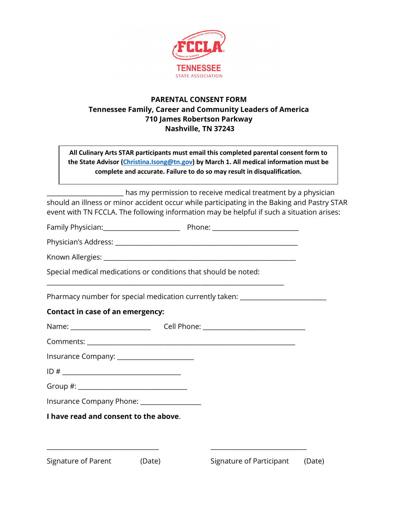

### **PARENTAL CONSENT FORM Tennessee Family, Career and Community Leaders of America 710 James Robertson Parkway Nashville, TN 37243**

**All Culinary Arts STAR participants must email this completed parental consent form to the State Advisor [\(Christina.Isong@tn.gov\)](mailto:Christina.Isong@tn.gov) by March 1. All medical information must be complete and accurate. Failure to do so may result in disqualification.**

 $\Box$  has my permission to receive medical treatment by a physician should an illness or minor accident occur while participating in the Baking and Pastry STAR event with TN FCCLA. The following information may be helpful if such a situation arises:

Family Physician:\_\_\_\_\_\_\_\_\_\_\_\_\_\_\_\_\_\_\_\_\_\_\_\_ Phone: \_\_\_\_\_\_\_\_\_\_\_\_\_\_\_\_\_\_\_\_\_\_\_\_\_\_\_

Physician's Address: \_\_\_\_\_\_\_\_\_\_\_\_\_\_\_\_\_\_\_\_\_\_\_\_\_\_\_\_\_\_\_\_\_\_\_\_\_\_\_\_\_\_\_\_\_\_\_\_\_\_\_\_\_\_\_\_\_

\_\_\_\_\_\_\_\_\_\_\_\_\_\_\_\_\_\_\_\_\_\_\_\_\_\_\_\_\_\_\_\_\_\_\_\_\_\_\_\_\_\_\_\_\_\_\_\_\_\_\_\_\_\_\_\_\_\_\_\_\_\_\_\_\_\_\_\_\_\_\_\_\_\_

Known Allergies: \_\_\_\_\_\_\_\_\_\_\_\_\_\_\_\_\_\_\_\_\_\_\_\_\_\_\_\_\_\_\_\_\_\_\_\_\_\_\_\_\_\_\_\_\_\_\_\_\_\_\_\_\_\_\_\_\_\_\_\_

Special medical medications or conditions that should be noted:

Pharmacy number for special medication currently taken: \_\_\_\_\_\_\_\_\_\_\_\_\_\_\_\_\_\_\_\_\_\_\_\_

#### **Contact in case of an emergency:**

| Name: ________________________             |        |                                 |  |
|--------------------------------------------|--------|---------------------------------|--|
|                                            |        |                                 |  |
| Insurance Company: _______________________ |        |                                 |  |
|                                            |        |                                 |  |
|                                            |        |                                 |  |
| Insurance Company Phone: _______________   |        |                                 |  |
| I have read and consent to the above.      |        |                                 |  |
|                                            |        |                                 |  |
|                                            |        |                                 |  |
| Signature of Parent                        | (Date) | Signature of Participant (Date) |  |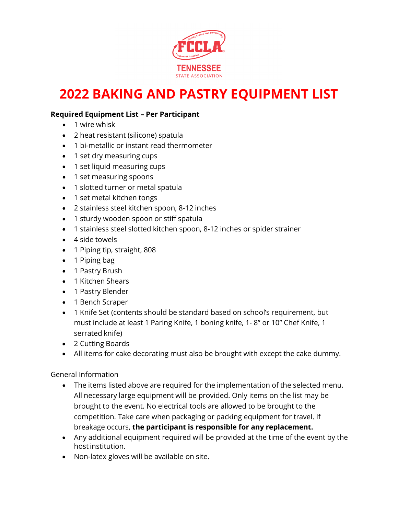

# **2022 BAKING AND PASTRY EQUIPMENT LIST**

#### **Required Equipment List – Per Participant**

- 1 wire whisk
- 2 heat resistant (silicone) spatula
- 1 bi-metallic or instant read thermometer
- 1 set dry measuring cups
- 1 set liquid measuring cups
- 1 set measuring spoons
- 1 slotted turner or metal spatula
- 1 set metal kitchen tongs
- 2 stainless steel kitchen spoon, 8-12 inches
- 1 sturdy wooden spoon or stiff spatula
- 1 stainless steel slotted kitchen spoon, 8-12 inches or spider strainer
- 4 side towels
- 1 Piping tip, straight, 808
- 1 Piping bag
- 1 Pastry Brush
- 1 Kitchen Shears
- 1 Pastry Blender
- 1 Bench Scraper
- 1 Knife Set (contents should be standard based on school's requirement, but must include at least 1 Paring Knife, 1 boning knife, 1- 8" or 10" Chef Knife, 1 serrated knife)
- 2 Cutting Boards
- All items for cake decorating must also be brought with except the cake dummy.

#### General Information

- The items listed above are required for the implementation of the selected menu. All necessary large equipment will be provided. Only items on the list may be brought to the event. No electrical tools are allowed to be brought to the competition. Take care when packaging or packing equipment for travel. If breakage occurs, **the participant is responsible for any replacement.**
- Any additional equipment required will be provided at the time of the event by the hostinstitution.
- Non-latex gloves will be available on site.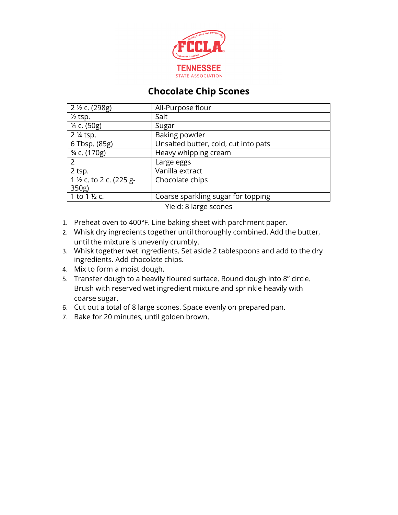

# **Chocolate Chip Scones**

| 2 ½ c. (298g)                                                                 | All-Purpose flour                    |  |  |  |
|-------------------------------------------------------------------------------|--------------------------------------|--|--|--|
| $\frac{1}{2}$ tsp.                                                            | Salt                                 |  |  |  |
| $\frac{1}{2}$ c. (50g)                                                        | Sugar                                |  |  |  |
| 2 ¼ tsp.                                                                      | Baking powder                        |  |  |  |
| 6 Tbsp. (85g)                                                                 | Unsalted butter, cold, cut into pats |  |  |  |
| 3/4 c. (170g)                                                                 | Heavy whipping cream                 |  |  |  |
| 2                                                                             | Large eggs                           |  |  |  |
| 2 tsp.                                                                        | Vanilla extract                      |  |  |  |
| 1 1/2 c. to 2 c. (225 g-                                                      | Chocolate chips                      |  |  |  |
| 350g                                                                          |                                      |  |  |  |
| 1 to 1 1/2 c.                                                                 | Coarse sparkling sugar for topping   |  |  |  |
| $\mathbf{v}$ $\mathbf{v}$ $\mathbf{v}$ $\mathbf{v}$ $\mathbf{v}$ $\mathbf{v}$ |                                      |  |  |  |

Yield: 8 large scones

- 1. Preheat oven to 400°F. Line baking sheet with parchment paper.
- 2. Whisk dry ingredients together until thoroughly combined. Add the butter, until the mixture is unevenly crumbly.
- 3. Whisk together wet ingredients. Set aside 2 tablespoons and add to the dry ingredients. Add chocolate chips.
- 4. Mix to form a moist dough.
- 5. Transfer dough to a heavily floured surface. Round dough into 8" circle. Brush with reserved wet ingredient mixture and sprinkle heavily with coarse sugar.
- 6. Cut out a total of 8 large scones. Space evenly on prepared pan.
- 7. Bake for 20 minutes, until golden brown.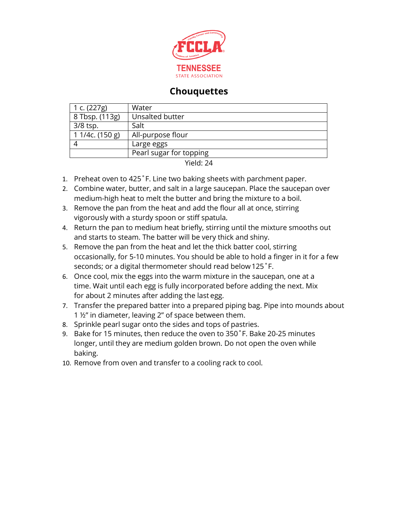

## **Chouquettes**

| 1 c. (227g)       | Water                   |  |  |
|-------------------|-------------------------|--|--|
| 8 Tbsp. (113g)    | Unsalted butter         |  |  |
| 3/8 tsp.          | Salt                    |  |  |
| 1 1/4c. $(150 g)$ | All-purpose flour       |  |  |
|                   | Large eggs              |  |  |
|                   | Pearl sugar for topping |  |  |
| Yield: 24         |                         |  |  |

1. Preheat oven to 425˚F. Line two baking sheets with parchment paper.

- 2. Combine water, butter, and salt in a large saucepan. Place the saucepan over medium-high heat to melt the butter and bring the mixture to a boil.
- 3. Remove the pan from the heat and add the flour all at once, stirring vigorously with a sturdy spoon or stiff spatula.
- 4. Return the pan to medium heat briefly, stirring until the mixture smooths out and starts to steam. The batter will be very thick and shiny.
- 5. Remove the pan from the heat and let the thick batter cool, stirring occasionally, for 5-10 minutes. You should be able to hold a finger in it for a few seconds; or a digital thermometer should read below125˚F.
- 6. Once cool, mix the eggs into the warm mixture in the saucepan, one at a time. Wait until each egg is fully incorporated before adding the next. Mix for about 2 minutes after adding the last egg.
- 7. Transfer the prepared batter into a prepared piping bag. Pipe into mounds about 1 ½" in diameter, leaving 2" of space between them.
- 8. Sprinkle pearl sugar onto the sides and tops of pastries.
- 9. Bake for 15 minutes, then reduce the oven to 350˚F. Bake 20-25 minutes longer, until they are medium golden brown. Do not open the oven while baking.
- 10. Remove from oven and transfer to a cooling rack to cool.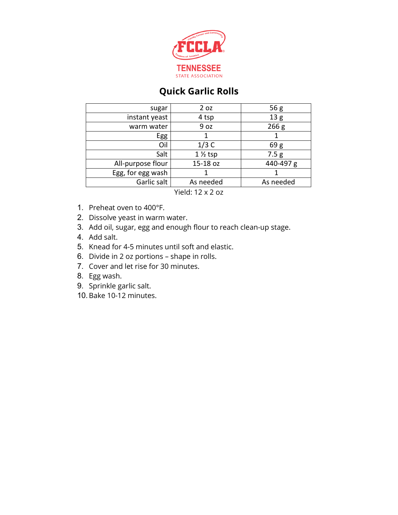

# **Quick Garlic Rolls**

| sugar             | 2 oz               | 56g              |
|-------------------|--------------------|------------------|
| instant yeast     | 4 tsp              | 13 <sub>g</sub>  |
| warm water        | 9 oz               | 266 <sub>g</sub> |
| Egg               |                    |                  |
| Oil               | 1/3C               | 69g              |
| Salt              | $1\frac{1}{2}$ tsp | 7.5g             |
| All-purpose flour | 15-18 oz           | 440-497 g        |
| Egg, for egg wash |                    |                  |
| Garlic salt       | As needed          | As needed        |
|                   |                    |                  |

Yield: 12 x 2 oz

- 1. Preheat oven to 400°F.
- 2. Dissolve yeast in warm water.
- 3. Add oil, sugar, egg and enough flour to reach clean-up stage.
- 4. Add salt.
- 5. Knead for 4-5 minutes until soft and elastic.
- 6. Divide in 2 oz portions shape in rolls.
- 7. Cover and let rise for 30 minutes.
- 8. Egg wash.
- 9. Sprinkle garlic salt.
- 10.Bake 10-12 minutes.